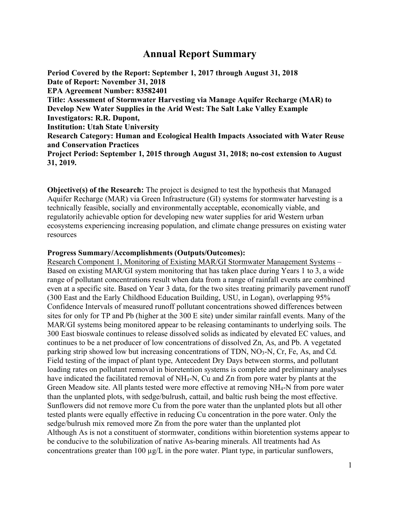## **Annual Report Summary**

**Period Covered by the Report: September 1, 2017 through August 31, 2018 Date of Report: November 31, 2018 EPA Agreement Number: 83582401 Title: Assessment of Stormwater Harvesting via Manage Aquifer Recharge (MAR) to Develop New Water Supplies in the Arid West: The Salt Lake Valley Example Investigators: R.R. Dupont, Institution: Utah State University Research Category: Human and Ecological Health Impacts Associated with Water Reuse and Conservation Practices Project Period: September 1, 2015 through August 31, 2018; no-cost extension to August 31, 2019.**

**Objective(s) of the Research:** The project is designed to test the hypothesis that Managed Aquifer Recharge (MAR) via Green Infrastructure (GI) systems for stormwater harvesting is a technically feasible, socially and environmentally acceptable, economically viable, and regulatorily achievable option for developing new water supplies for arid Western urban ecosystems experiencing increasing population, and climate change pressures on existing water resources

## **Progress Summary/Accomplishments (Outputs/Outcomes):**

Research Component 1, Monitoring of Existing MAR/GI Stormwater Management Systems – Based on existing MAR/GI system monitoring that has taken place during Years 1 to 3, a wide range of pollutant concentrations result when data from a range of rainfall events are combined even at a specific site. Based on Year 3 data, for the two sites treating primarily pavement runoff (300 East and the Early Childhood Education Building, USU, in Logan), overlapping 95% Confidence Intervals of measured runoff pollutant concentrations showed differences between sites for only for TP and Pb (higher at the 300 E site) under similar rainfall events. Many of the MAR/GI systems being monitored appear to be releasing contaminants to underlying soils. The 300 East bioswale continues to release dissolved solids as indicated by elevated EC values, and continues to be a net producer of low concentrations of dissolved Zn, As, and Pb. A vegetated parking strip showed low but increasing concentrations of TDN, NO<sub>3</sub>-N, Cr, Fe, As, and Cd. Field testing of the impact of plant type, Antecedent Dry Days between storms, and pollutant loading rates on pollutant removal in bioretention systems is complete and preliminary analyses have indicated the facilitated removal of NH<sub>4</sub>-N, Cu and Zn from pore water by plants at the Green Meadow site. All plants tested were more effective at removing NH4-N from pore water than the unplanted plots, with sedge/bulrush, cattail, and baltic rush being the most effective. Sunflowers did not remove more Cu from the pore water than the unplanted plots but all other tested plants were equally effective in reducing Cu concentration in the pore water. Only the sedge/bulrush mix removed more Zn from the pore water than the unplanted plot Although As is not a constituent of stormwater, conditions within bioretention systems appear to be conducive to the solubilization of native As-bearing minerals. All treatments had As concentrations greater than 100  $\mu$ g/L in the pore water. Plant type, in particular sunflowers,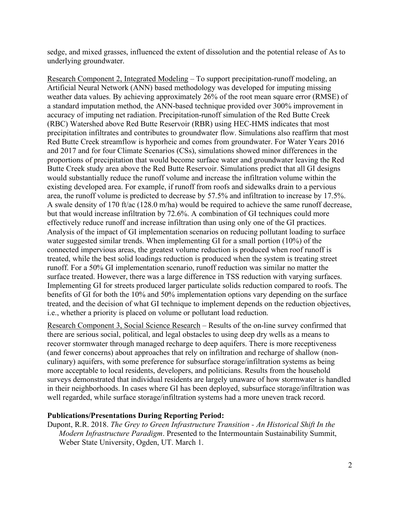sedge, and mixed grasses, influenced the extent of dissolution and the potential release of As to underlying groundwater.

Research Component 2, Integrated Modeling – To support precipitation-runoff modeling, an Artificial Neural Network (ANN) based methodology was developed for imputing missing weather data values. By achieving approximately 26% of the root mean square error (RMSE) of a standard imputation method, the ANN-based technique provided over 300% improvement in accuracy of imputing net radiation. Precipitation-runoff simulation of the Red Butte Creek (RBC) Watershed above Red Butte Reservoir (RBR) using HEC-HMS indicates that most precipitation infiltrates and contributes to groundwater flow. Simulations also reaffirm that most Red Butte Creek streamflow is hyporheic and comes from groundwater. For Water Years 2016 and 2017 and for four Climate Scenarios (CSs), simulations showed minor differences in the proportions of precipitation that would become surface water and groundwater leaving the Red Butte Creek study area above the Red Butte Reservoir. Simulations predict that all GI designs would substantially reduce the runoff volume and increase the infiltration volume within the existing developed area. For example, if runoff from roofs and sidewalks drain to a pervious area, the runoff volume is predicted to decrease by 57.5% and infiltration to increase by 17.5%. A swale density of 170 ft/ac (128.0 m/ha) would be required to achieve the same runoff decrease, but that would increase infiltration by 72.6%. A combination of GI techniques could more effectively reduce runoff and increase infiltration than using only one of the GI practices. Analysis of the impact of GI implementation scenarios on reducing pollutant loading to surface water suggested similar trends. When implementing GI for a small portion (10%) of the connected impervious areas, the greatest volume reduction is produced when roof runoff is treated, while the best solid loadings reduction is produced when the system is treating street runoff. For a 50% GI implementation scenario, runoff reduction was similar no matter the surface treated. However, there was a large difference in TSS reduction with varying surfaces. Implementing GI for streets produced larger particulate solids reduction compared to roofs. The benefits of GI for both the 10% and 50% implementation options vary depending on the surface treated, and the decision of what GI technique to implement depends on the reduction objectives, i.e., whether a priority is placed on volume or pollutant load reduction.

Research Component 3, Social Science Research – Results of the on-line survey confirmed that there are serious social, political, and legal obstacles to using deep dry wells as a means to recover stormwater through managed recharge to deep aquifers. There is more receptiveness (and fewer concerns) about approaches that rely on infiltration and recharge of shallow (nonculinary) aquifers, with some preference for subsurface storage/infiltration systems as being more acceptable to local residents, developers, and politicians. Results from the household surveys demonstrated that individual residents are largely unaware of how stormwater is handled in their neighborhoods. In cases where GI has been deployed, subsurface storage/infiltration was well regarded, while surface storage/infiltration systems had a more uneven track record.

## **Publications/Presentations During Reporting Period:**

Dupont, R.R. 2018. *The Grey to Green Infrastructure Transition - An Historical Shift In the Modern Infrastructure Paradigm*. Presented to the Intermountain Sustainability Summit, Weber State University, Ogden, UT. March 1.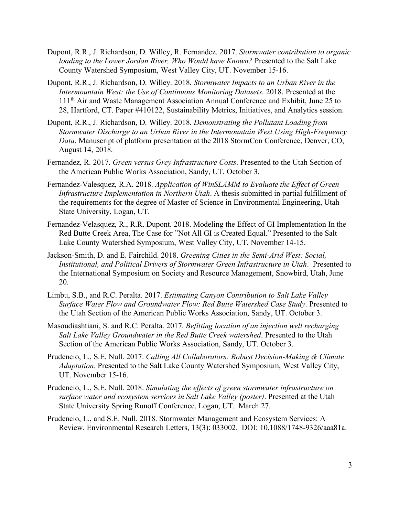- Dupont, R.R., J. Richardson, D. Willey, R. Fernandez. 2017. *Stormwater contribution to organic loading to the Lower Jordan River, Who Would have Known?* Presented to the Salt Lake County Watershed Symposium, West Valley City, UT. November 15-16.
- Dupont, R.R., J. Richardson, D. Willey. 2018. *Stormwater Impacts to an Urban River in the Intermountain West: the Use of Continuous Monitoring Datasets*. 2018. Presented at the 111th Air and Waste Management Association Annual Conference and Exhibit, June 25 to 28, Hartford, CT. Paper #410122, Sustainability Metrics, Initiatives, and Analytics session.
- Dupont, R.R., J. Richardson, D. Willey. 2018. *Demonstrating the Pollutant Loading from Stormwater Discharge to an Urban River in the Intermountain West Using High-Frequency Data*. Manuscript of platform presentation at the 2018 StormCon Conference, Denver, CO, August 14, 2018.
- Fernandez, R. 2017. *Green versus Grey Infrastructure Costs*. Presented to the Utah Section of the American Public Works Association, Sandy, UT. October 3.
- Fernandez-Valesquez, R.A. 2018. *Application of WinSLAMM to Evaluate the Effect of Green Infrastructure Implementation in Northern Utah*. A thesis submitted in partial fulfillment of the requirements for the degree of Master of Science in Environmental Engineering, Utah State University, Logan, UT.
- Fernandez-Velasquez, R., R.R. Dupont. 2018. Modeling the Effect of GI Implementation In the Red Butte Creek Area, The Case for "Not All GI is Created Equal." Presented to the Salt Lake County Watershed Symposium, West Valley City, UT. November 14-15.
- Jackson-Smith, D. and E. Fairchild. 2018. *Greening Cities in the Semi-Arid West: Social, Institutional, and Political Drivers of Stormwater Green Infrastructure in Utah*. Presented to the International Symposium on Society and Resource Management, Snowbird, Utah, June 20.
- Limbu, S.B., and R.C. Peralta. 2017. *Estimating Canyon Contribution to Salt Lake Valley Surface Water Flow and Groundwater Flow: Red Butte Watershed Case Study*. Presented to the Utah Section of the American Public Works Association, Sandy, UT. October 3.
- Masoudiashtiani, S. and R.C. Peralta. 2017. *Befitting location of an injection well recharging Salt Lake Valley Groundwater in the Red Butte Creek watershed*. Presented to the Utah Section of the American Public Works Association, Sandy, UT. October 3.
- Prudencio, L., S.E. Null. 2017. *Calling All Collaborators: Robust Decision-Making & Climate Adaptation*. Presented to the Salt Lake County Watershed Symposium, West Valley City, UT. November 15-16.
- Prudencio, L., S.E. Null. 2018. *Simulating the effects of green stormwater infrastructure on surface water and ecosystem services in Salt Lake Valley (poster)*. Presented at the Utah State University Spring Runoff Conference. Logan, UT. March 27.
- Prudencio, L., and S.E. Null. 2018. Stormwater Management and Ecosystem Services: A Review. Environmental Research Letters, 13(3): 033002. DOI: 10.1088/1748-9326/aaa81a.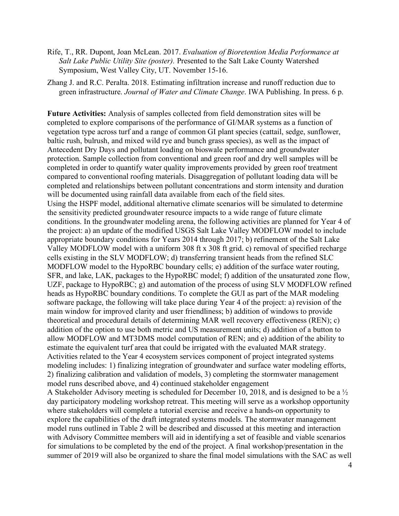- Rife, T., RR. Dupont, Joan McLean. 2017. *Evaluation of Bioretention Media Performance at Salt Lake Public Utility Site (poster).* Presented to the Salt Lake County Watershed Symposium, West Valley City, UT. November 15-16.
- Zhang J. and R.C. Peralta. 2018. Estimating infiltration increase and runoff reduction due to green infrastructure. *Journal of Water and Climate Change*. IWA Publishing. In press. 6 p.

**Future Activities:** Analysis of samples collected from field demonstration sites will be completed to explore comparisons of the performance of GI/MAR systems as a function of vegetation type across turf and a range of common GI plant species (cattail, sedge, sunflower, baltic rush, bulrush, and mixed wild rye and bunch grass species), as well as the impact of Antecedent Dry Days and pollutant loading on bioswale performance and groundwater protection. Sample collection from conventional and green roof and dry well samples will be completed in order to quantify water quality improvements provided by green roof treatment compared to conventional roofing materials. Disaggregation of pollutant loading data will be completed and relationships between pollutant concentrations and storm intensity and duration will be documented using rainfall data available from each of the field sites. Using the HSPF model, additional alternative climate scenarios will be simulated to determine the sensitivity predicted groundwater resource impacts to a wide range of future climate conditions. In the groundwater modeling arena, the following activities are planned for Year 4 of the project: a) an update of the modified USGS Salt Lake Valley MODFLOW model to include appropriate boundary conditions for Years 2014 through 2017; b) refinement of the Salt Lake Valley MODFLOW model with a uniform 308 ft x 308 ft grid. c) removal of specified recharge cells existing in the SLV MODFLOW; d) transferring transient heads from the refined SLC MODFLOW model to the HypoRBC boundary cells; e) addition of the surface water routing, SFR, and lake, LAK, packages to the HypoRBC model; f) addition of the unsaturated zone flow, UZF, package to HypoRBC; g) and automation of the process of using SLV MODFLOW refined heads as HypoRBC boundary conditions. To complete the GUI as part of the MAR modeling software package, the following will take place during Year 4 of the project: a) revision of the main window for improved clarity and user friendliness; b) addition of windows to provide theoretical and procedural details of determining MAR well recovery effectiveness (REN); c) addition of the option to use both metric and US measurement units; d) addition of a button to allow MODFLOW and MT3DMS model computation of REN; and e) addition of the ability to estimate the equivalent turf area that could be irrigated with the evaluated MAR strategy. Activities related to the Year 4 ecosystem services component of project integrated systems modeling includes: 1) finalizing integration of groundwater and surface water modeling efforts, 2) finalizing calibration and validation of models, 3) completing the stormwater management model runs described above, and 4) continued stakeholder engagement

A Stakeholder Advisory meeting is scheduled for December 10, 2018, and is designed to be a ½ day participatory modeling workshop retreat. This meeting will serve as a workshop opportunity where stakeholders will complete a tutorial exercise and receive a hands-on opportunity to explore the capabilities of the draft integrated systems models. The stormwater management model runs outlined in Table 2 will be described and discussed at this meeting and interaction with Advisory Committee members will aid in identifying a set of feasible and viable scenarios for simulations to be completed by the end of the project. A final workshop/presentation in the summer of 2019 will also be organized to share the final model simulations with the SAC as well